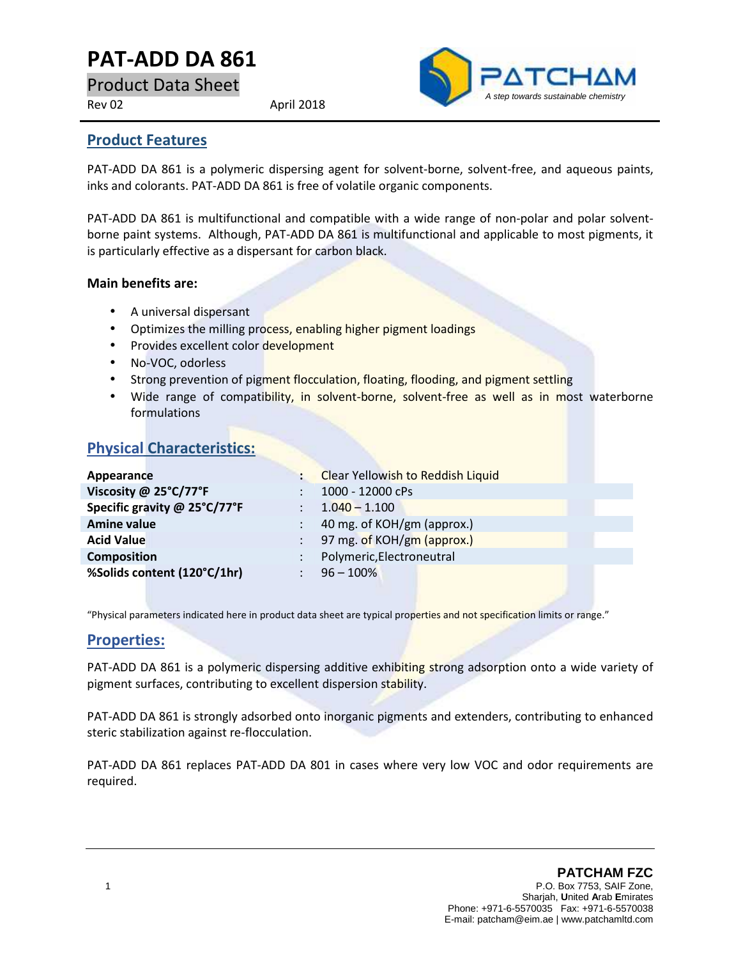# **PAT-ADD DA 861**

Product Data Sheet

Rev 02 April 2018



#### **Product Features**

PAT-ADD DA 861 is a polymeric dispersing agent for solvent-borne, solvent-free, and aqueous paints, inks and colorants. PAT-ADD DA 861 is free of volatile organic components.

PAT-ADD DA 861 is multifunctional and compatible with a wide range of non-polar and polar solvent borne paint systems. Although, PAT-ADD DA 861 is multifunctional and applicable to most pigments, it is particularly effective as a dispersant for carbon black.

#### **Main benefits are:**

- A universal dispersant
- Optimizes the milling process, enabling higher pigment loadings
- Provides excellent color development
- No-VOC, odorless
- Strong prevention of pigment flocculation, floating, flooding, and pigment settling
- Wide range of compatibility, in solvent-borne, solvent-free as well as in most waterborne formulations

## **Physical Characteristics:**

| Appearance                   |               | <b>Clear Yellowish to Reddish Liquid</b> |
|------------------------------|---------------|------------------------------------------|
| Viscosity @ 25°C/77°F        |               | 1000 - 12000 cPs                         |
| Specific gravity @ 25°C/77°F |               | $1.040 - 1.100$                          |
| <b>Amine value</b>           |               | 40 mg. of KOH/gm (approx.)               |
| <b>Acid Value</b>            | $\mathcal{L}$ | 97 mg. of KOH/gm (approx.)               |
| <b>Composition</b>           |               | Polymeric, Electroneutral                |
| %Solids content (120°C/1hr)  |               | $96 - 100\%$                             |
|                              |               |                                          |

"Physical parameters indicated here in product data sheet are typical properties and not specification limits or range."

### **Properties:**

PAT-ADD DA 861 is a polymeric dispersing additive exhibiting strong adsorption onto a wide variety of pigment surfaces, contributing to excellent dispersion stability.

PAT-ADD DA 861 is strongly adsorbed onto inorganic pigments and extenders, contributing to enhanced steric stabilization against re-flocculation.

PAT-ADD DA 861 replaces PAT-ADD DA 801 in cases where very low VOC and odor requirements are required.